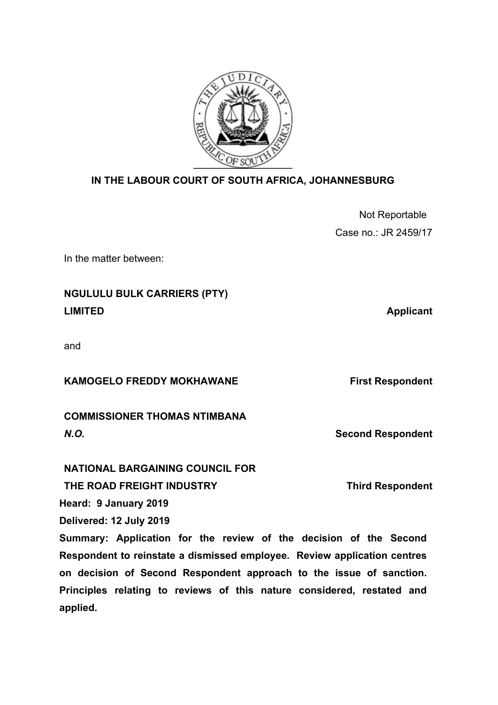

## **IN THE LABOUR COURT OF SOUTH AFRICA, JOHANNESBURG**

| Not Reportable       |
|----------------------|
| Case no.: JR 2459/17 |

In the matter between:

# **NGULULU BULK CARRIERS (PTY) LIMITED** Applicant

and

**KAMOGELO FREDDY MOKHAWANE First Respondent** 

*N.O.* **Second Respondent** 

| <b>COMMISSIONER THOMAS NTIMBANA</b> |  |
|-------------------------------------|--|
| N.O.                                |  |

## **NATIONAL BARGAINING COUNCIL FOR**

**THE ROAD FREIGHT INDUSTRY Third Respondent**

**Heard: 9 January 2019**

**Delivered: 12 July 2019**

**Summary: Application for the review of the decision of the Second Respondent to reinstate a dismissed employee. Review application centres on decision of Second Respondent approach to the issue of sanction. Principles relating to reviews of this nature considered, restated and applied.**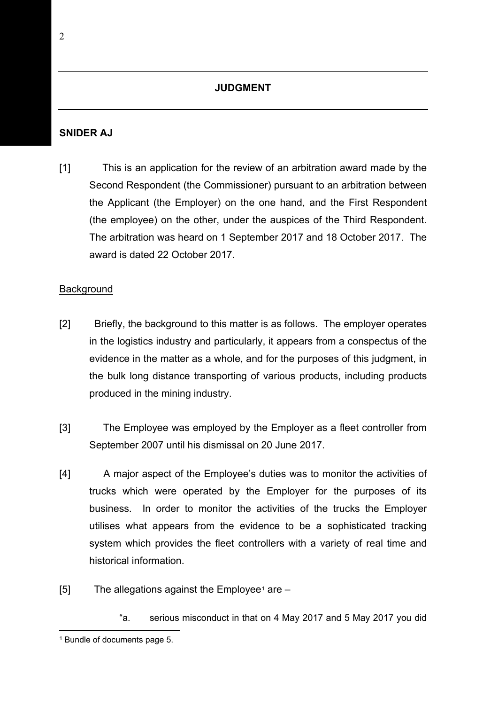#### **JUDGMENT**

#### **SNIDER AJ**

[1] This is an application for the review of an arbitration award made by the Second Respondent (the Commissioner) pursuant to an arbitration between the Applicant (the Employer) on the one hand, and the First Respondent (the employee) on the other, under the auspices of the Third Respondent. The arbitration was heard on 1 September 2017 and 18 October 2017. The award is dated 22 October 2017.

#### **Background**

- [2] Briefly, the background to this matter is as follows. The employer operates in the logistics industry and particularly, it appears from a conspectus of the evidence in the matter as a whole, and for the purposes of this judgment, in the bulk long distance transporting of various products, including products produced in the mining industry.
- [3] The Employee was employed by the Employer as a fleet controller from September 2007 until his dismissal on 20 June 2017.
- [4] A major aspect of the Employee's duties was to monitor the activities of trucks which were operated by the Employer for the purposes of its business. In order to monitor the activities of the trucks the Employer utilises what appears from the evidence to be a sophisticated tracking system which provides the fleet controllers with a variety of real time and historical information.
- $[5]$  The allegations against the Employee<sup>[1](#page-1-0)</sup> are  $-$ 
	- "a. serious misconduct in that on 4 May 2017 and 5 May 2017 you did

<span id="page-1-0"></span><sup>1</sup> Bundle of documents page 5.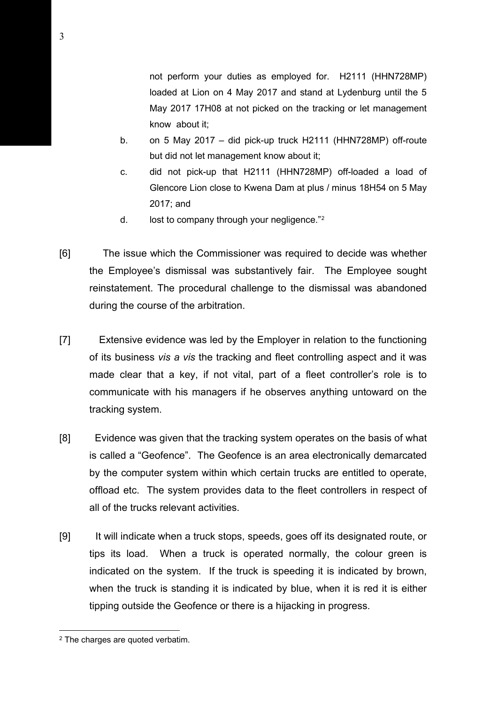not perform your duties as employed for. H2111 (HHN728MP) loaded at Lion on 4 May 2017 and stand at Lydenburg until the 5 May 2017 17H08 at not picked on the tracking or let management know about it;

- b. on 5 May 2017 did pick-up truck H2111 (HHN728MP) off-route but did not let management know about it;
- c. did not pick-up that H2111 (HHN728MP) off-loaded a load of Glencore Lion close to Kwena Dam at plus / minus 18H54 on 5 May 2017; and
- d. lost to company through your negligence."<sup>2</sup>
- [6] The issue which the Commissioner was required to decide was whether the Employee's dismissal was substantively fair. The Employee sought reinstatement. The procedural challenge to the dismissal was abandoned during the course of the arbitration.
- [7] Extensive evidence was led by the Employer in relation to the functioning of its business *vis a vis* the tracking and fleet controlling aspect and it was made clear that a key, if not vital, part of a fleet controller's role is to communicate with his managers if he observes anything untoward on the tracking system.
- [8] Evidence was given that the tracking system operates on the basis of what is called a "Geofence". The Geofence is an area electronically demarcated by the computer system within which certain trucks are entitled to operate, offload etc. The system provides data to the fleet controllers in respect of all of the trucks relevant activities.
- [9] It will indicate when a truck stops, speeds, goes off its designated route, or tips its load. When a truck is operated normally, the colour green is indicated on the system. If the truck is speeding it is indicated by brown, when the truck is standing it is indicated by blue, when it is red it is either tipping outside the Geofence or there is a hijacking in progress.

<span id="page-2-0"></span><sup>2</sup> The charges are quoted verbatim.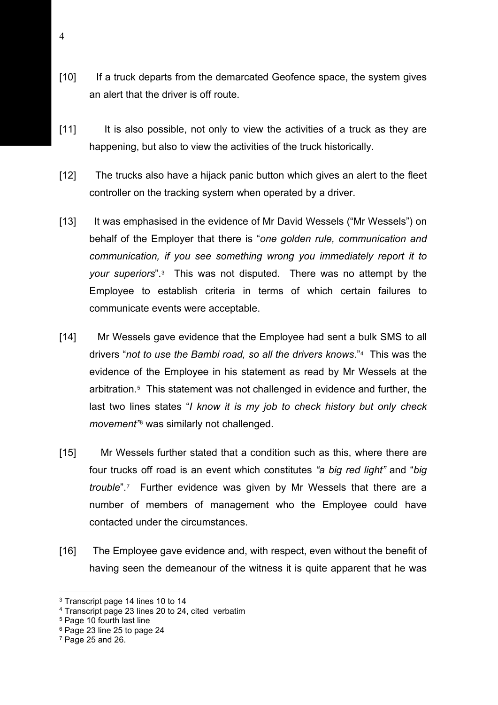- [10] If a truck departs from the demarcated Geofence space, the system gives an alert that the driver is off route.
- [11] It is also possible, not only to view the activities of a truck as they are happening, but also to view the activities of the truck historically.
- [12] The trucks also have a hijack panic button which gives an alert to the fleet controller on the tracking system when operated by a driver.
- [13] It was emphasised in the evidence of Mr David Wessels ("Mr Wessels") on behalf of the Employer that there is "*one golden rule, communication and communication, if you see something wrong you immediately report it to your superiors*".[3](#page-3-0) This was not disputed. There was no attempt by the Employee to establish criteria in terms of which certain failures to communicate events were acceptable.
- [14] Mr Wessels gave evidence that the Employee had sent a bulk SMS to all drivers "*not to use the Bambi road, so all the drivers knows*."[4](#page-3-1) This was the evidence of the Employee in his statement as read by Mr Wessels at the arbitration.[5](#page-3-2) This statement was not challenged in evidence and further, the last two lines states "*I know it is my job to check history but only check movement"*[6](#page-3-3) was similarly not challenged.
- [15] Mr Wessels further stated that a condition such as this, where there are four trucks off road is an event which constitutes *"a big red light"* and "*big trouble*"[.7](#page-3-4) Further evidence was given by Mr Wessels that there are a number of members of management who the Employee could have contacted under the circumstances.
- [16] The Employee gave evidence and, with respect, even without the benefit of having seen the demeanour of the witness it is quite apparent that he was

<span id="page-3-0"></span><sup>3</sup> Transcript page 14 lines 10 to 14

<span id="page-3-1"></span><sup>4</sup> Transcript page 23 lines 20 to 24, cited verbatim

<span id="page-3-2"></span><sup>5</sup> Page 10 fourth last line

<span id="page-3-3"></span><sup>6</sup> Page 23 line 25 to page 24

<span id="page-3-4"></span> $7$  Page 25 and 26.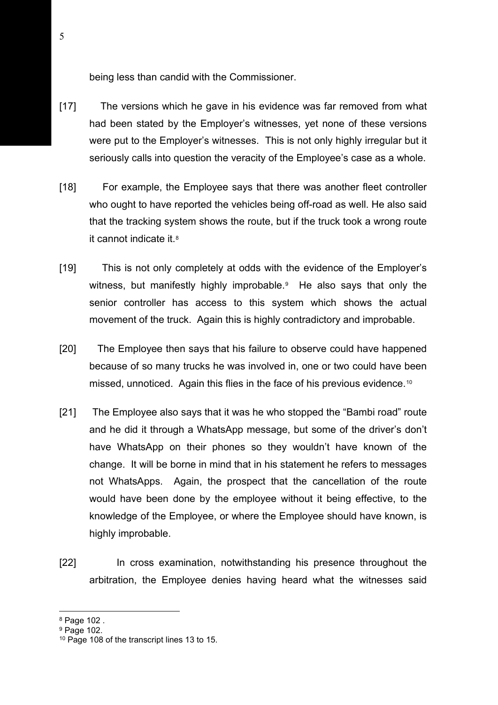being less than candid with the Commissioner.

- [17] The versions which he gave in his evidence was far removed from what had been stated by the Employer's witnesses, yet none of these versions were put to the Employer's witnesses. This is not only highly irregular but it seriously calls into question the veracity of the Employee's case as a whole.
- [18] For example, the Employee says that there was another fleet controller who ought to have reported the vehicles being off-road as well. He also said that the tracking system shows the route, but if the truck took a wrong route it cannot indicate it.[8](#page-4-0)
- [19] This is not only completely at odds with the evidence of the Employer's witness, but manifestly highly improbable.<sup>9</sup> He also says that only the senior controller has access to this system which shows the actual movement of the truck. Again this is highly contradictory and improbable.
- [20] The Employee then says that his failure to observe could have happened because of so many trucks he was involved in, one or two could have been missed, unnoticed. Again this flies in the face of his previous evidence.[10](#page-4-2)
- [21] The Employee also says that it was he who stopped the "Bambi road" route and he did it through a WhatsApp message, but some of the driver's don't have WhatsApp on their phones so they wouldn't have known of the change. It will be borne in mind that in his statement he refers to messages not WhatsApps. Again, the prospect that the cancellation of the route would have been done by the employee without it being effective, to the knowledge of the Employee, or where the Employee should have known, is highly improbable.
- [22] In cross examination, notwithstanding his presence throughout the arbitration, the Employee denies having heard what the witnesses said

<span id="page-4-0"></span><sup>8</sup> Page 102 .

<span id="page-4-1"></span><sup>9</sup> Page 102.

<span id="page-4-2"></span><sup>&</sup>lt;sup>10</sup> Page 108 of the transcript lines 13 to 15.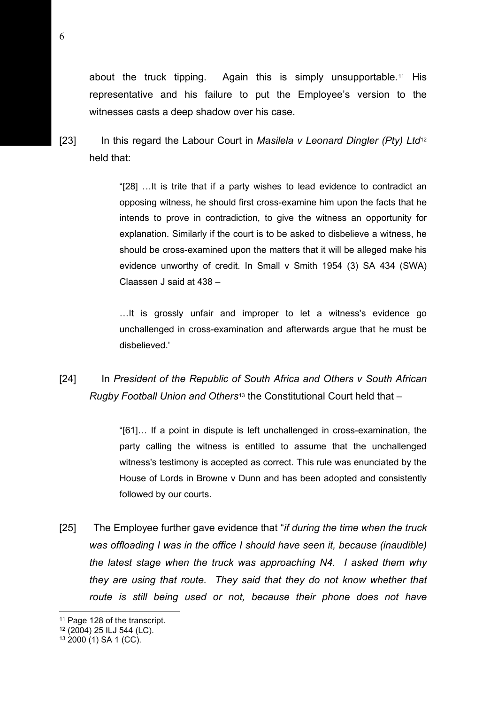about the truck tipping. Again this is simply unsupportable.[11](#page-5-0) His representative and his failure to put the Employee's version to the witnesses casts a deep shadow over his case.

[23] In this regard the Labour Court in *Masilela v Leonard Dingler (Pty) Ltd*[12](#page-5-1) held that:

> "[28] …It is trite that if a party wishes to lead evidence to contradict an opposing witness, he should first cross-examine him upon the facts that he intends to prove in contradiction, to give the witness an opportunity for explanation. Similarly if the court is to be asked to disbelieve a witness, he should be cross-examined upon the matters that it will be alleged make his evidence unworthy of credit. In Small v Smith 1954 (3) SA 434 (SWA) Claassen J said at 438 –

> …It is grossly unfair and improper to let a witness's evidence go unchallenged in cross-examination and afterwards argue that he must be disbelieved.'

[24] In *President of the Republic of South Africa and Others v South African Rugby Football Union and Others*[13](#page-5-2) the Constitutional Court held that –

> "[61]… If a point in dispute is left unchallenged in cross-examination, the party calling the witness is entitled to assume that the unchallenged witness's testimony is accepted as correct. This rule was enunciated by the House of Lords in Browne v Dunn and has been adopted and consistently followed by our courts.

[25] The Employee further gave evidence that "*if during the time when the truck was offloading I was in the office I should have seen it, because (inaudible) the latest stage when the truck was approaching N4. I asked them why they are using that route. They said that they do not know whether that*  route is still being used or not, because their phone does not have

<span id="page-5-0"></span><sup>&</sup>lt;sup>11</sup> Page 128 of the transcript.

<span id="page-5-1"></span><sup>12</sup> (2004) 25 ILJ 544 (LC).

<span id="page-5-2"></span> $13\,2000(1)$  SA 1 (CC).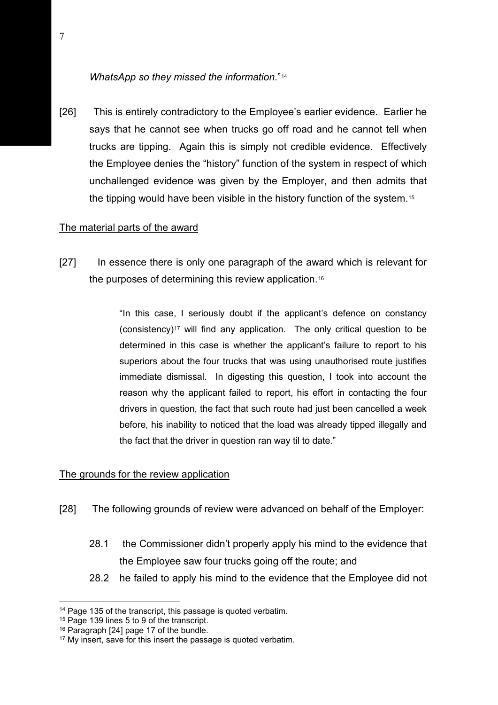#### *WhatsApp so they missed the information*."[14](#page-6-0)

[26] This is entirely contradictory to the Employee's earlier evidence. Earlier he says that he cannot see when trucks go off road and he cannot tell when trucks are tipping. Again this is simply not credible evidence. Effectively the Employee denies the "history" function of the system in respect of which unchallenged evidence was given by the Employer, and then admits that the tipping would have been visible in the history function of the system[.15](#page-6-1) 

#### The material parts of the award

[27] In essence there is only one paragraph of the award which is relevant for the purposes of determining this review application.[16](#page-6-2)

> "In this case, I seriously doubt if the applicant's defence on constancy (consistency)[17](#page-6-3) will find any application. The only critical question to be determined in this case is whether the applicant's failure to report to his superiors about the four trucks that was using unauthorised route justifies immediate dismissal. In digesting this question, I took into account the reason why the applicant failed to report, his effort in contacting the four drivers in question, the fact that such route had just been cancelled a week before, his inability to noticed that the load was already tipped illegally and the fact that the driver in question ran way til to date."

#### The grounds for the review application

- [28] The following grounds of review were advanced on behalf of the Employer:
	- 28.1 the Commissioner didn't properly apply his mind to the evidence that the Employee saw four trucks going off the route; and
	- 28.2 he failed to apply his mind to the evidence that the Employee did not

<span id="page-6-0"></span><sup>&</sup>lt;sup>14</sup> Page 135 of the transcript, this passage is quoted verbatim.

<span id="page-6-1"></span><sup>15</sup> Page 139 lines 5 to 9 of the transcript.

<span id="page-6-2"></span><sup>16</sup> Paragraph [24] page 17 of the bundle.

<span id="page-6-3"></span><sup>&</sup>lt;sup>17</sup> My insert, save for this insert the passage is quoted verbatim.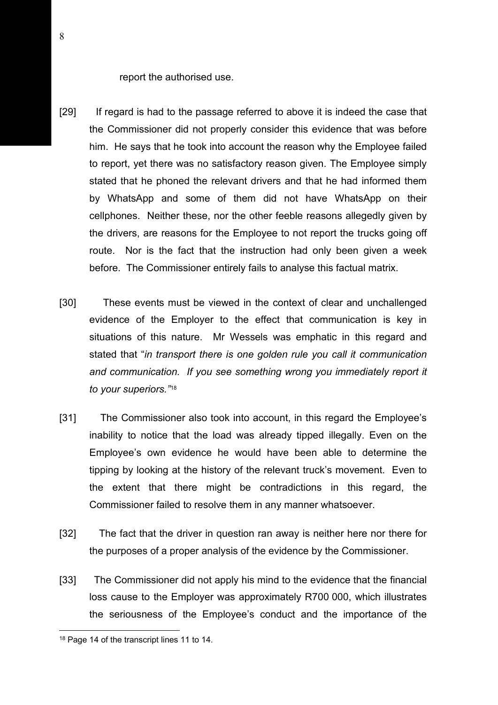report the authorised use.

- [29] If regard is had to the passage referred to above it is indeed the case that the Commissioner did not properly consider this evidence that was before him. He says that he took into account the reason why the Employee failed to report, yet there was no satisfactory reason given. The Employee simply stated that he phoned the relevant drivers and that he had informed them by WhatsApp and some of them did not have WhatsApp on their cellphones. Neither these, nor the other feeble reasons allegedly given by the drivers, are reasons for the Employee to not report the trucks going off route. Nor is the fact that the instruction had only been given a week before. The Commissioner entirely fails to analyse this factual matrix.
- [30] These events must be viewed in the context of clear and unchallenged evidence of the Employer to the effect that communication is key in situations of this nature. Mr Wessels was emphatic in this regard and stated that "*in transport there is one golden rule you call it communication*  and communication. If you see something wrong you immediately report it *to your superiors."*[18](#page-7-0)
- [31] The Commissioner also took into account, in this regard the Employee's inability to notice that the load was already tipped illegally. Even on the Employee's own evidence he would have been able to determine the tipping by looking at the history of the relevant truck's movement. Even to the extent that there might be contradictions in this regard, the Commissioner failed to resolve them in any manner whatsoever.
- [32] The fact that the driver in question ran away is neither here nor there for the purposes of a proper analysis of the evidence by the Commissioner.
- [33] The Commissioner did not apply his mind to the evidence that the financial loss cause to the Employer was approximately R700 000, which illustrates the seriousness of the Employee's conduct and the importance of the

<span id="page-7-0"></span><sup>18</sup> Page 14 of the transcript lines 11 to 14.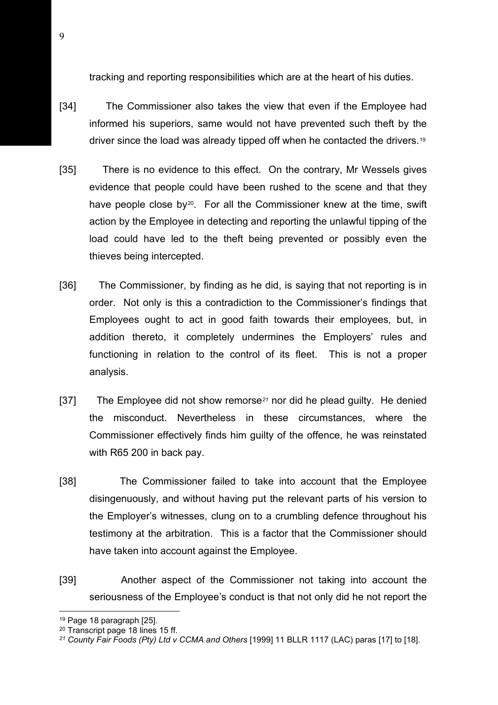tracking and reporting responsibilities which are at the heart of his duties.

- [34] The Commissioner also takes the view that even if the Employee had informed his superiors, same would not have prevented such theft by the driver since the load was already tipped off when he contacted the drivers.[19](#page-8-0)
- [35] There is no evidence to this effect. On the contrary, Mr Wessels gives evidence that people could have been rushed to the scene and that they have people close by $20$ . For all the Commissioner knew at the time, swift action by the Employee in detecting and reporting the unlawful tipping of the load could have led to the theft being prevented or possibly even the thieves being intercepted.
- [36] The Commissioner, by finding as he did, is saying that not reporting is in order. Not only is this a contradiction to the Commissioner's findings that Employees ought to act in good faith towards their employees, but, in addition thereto, it completely undermines the Employers' rules and functioning in relation to the control of its fleet. This is not a proper analysis.
- [37] The Employee did not show remorse*[21](#page-8-2)* nor did he plead guilty. He denied the misconduct. Nevertheless in these circumstances, where the Commissioner effectively finds him guilty of the offence, he was reinstated with R65 200 in back pay.
- [38] The Commissioner failed to take into account that the Employee disingenuously, and without having put the relevant parts of his version to the Employer's witnesses, clung on to a crumbling defence throughout his testimony at the arbitration. This is a factor that the Commissioner should have taken into account against the Employee.
- [39] Another aspect of the Commissioner not taking into account the seriousness of the Employee's conduct is that not only did he not report the

<sup>19</sup> Page 18 paragraph [25].

<span id="page-8-1"></span><span id="page-8-0"></span><sup>20</sup> Transcript page 18 lines 15 ff.

<span id="page-8-2"></span>*<sup>21</sup> County Fair Foods (Pty) Ltd v CCMA and Others* [1999] 11 BLLR 1117 (LAC) paras [17] to [18].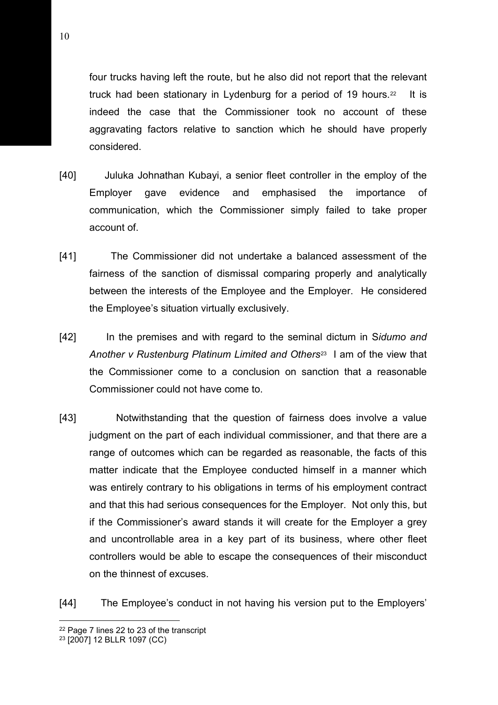four trucks having left the route, but he also did not report that the relevant truck had been stationary in Lydenburg for a period of 19 hours.<sup>22</sup> It is indeed the case that the Commissioner took no account of these aggravating factors relative to sanction which he should have properly considered.

- [40] Juluka Johnathan Kubayi, a senior fleet controller in the employ of the Employer gave evidence and emphasised the importance of communication, which the Commissioner simply failed to take proper account of.
- [41] The Commissioner did not undertake a balanced assessment of the fairness of the sanction of dismissal comparing properly and analytically between the interests of the Employee and the Employer. He considered the Employee's situation virtually exclusively.
- [42] In the premises and with regard to the seminal dictum in S*idumo and Another v Rustenburg Platinum Limited and Others*[23](#page-9-1) I am of the view that the Commissioner come to a conclusion on sanction that a reasonable Commissioner could not have come to.
- [43] Notwithstanding that the question of fairness does involve a value judgment on the part of each individual commissioner, and that there are a range of outcomes which can be regarded as reasonable, the facts of this matter indicate that the Employee conducted himself in a manner which was entirely contrary to his obligations in terms of his employment contract and that this had serious consequences for the Employer. Not only this, but if the Commissioner's award stands it will create for the Employer a grey and uncontrollable area in a key part of its business, where other fleet controllers would be able to escape the consequences of their misconduct on the thinnest of excuses.

[44] The Employee's conduct in not having his version put to the Employers'

<span id="page-9-0"></span><sup>22</sup> Page 7 lines 22 to 23 of the transcript

<span id="page-9-1"></span><sup>23</sup> [2007] 12 BLLR 1097 (CC)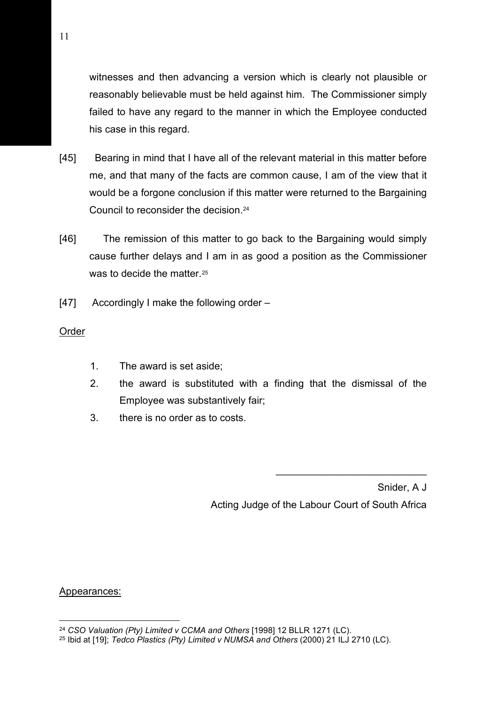witnesses and then advancing a version which is clearly not plausible or reasonably believable must be held against him. The Commissioner simply failed to have any regard to the manner in which the Employee conducted his case in this regard.

- [45] Bearing in mind that I have all of the relevant material in this matter before me, and that many of the facts are common cause, I am of the view that it would be a forgone conclusion if this matter were returned to the Bargaining Council to reconsider the decision.[24](#page-10-0)
- [46] The remission of this matter to go back to the Bargaining would simply cause further delays and I am in as good a position as the Commissioner was to decide the matter.<sup>[25](#page-10-1)</sup>
- [47] Accordingly I make the following order –

## Order

- 1. The award is set aside;
- 2. the award is substituted with a finding that the dismissal of the Employee was substantively fair;
- 3. there is no order as to costs.

Snider, A J Acting Judge of the Labour Court of South Africa

\_\_\_\_\_\_\_\_\_\_\_\_\_\_\_\_\_\_\_\_\_\_\_\_\_\_\_

Appearances:

<span id="page-10-0"></span><sup>24</sup> *CSO Valuation (Pty) Limited v CCMA and Others* [1998] 12 BLLR 1271 (LC).

<span id="page-10-1"></span><sup>25</sup> Ibid at [19]; *Tedco Plastics (Pty) Limited v NUMSA and Others* (2000) 21 ILJ 2710 (LC).